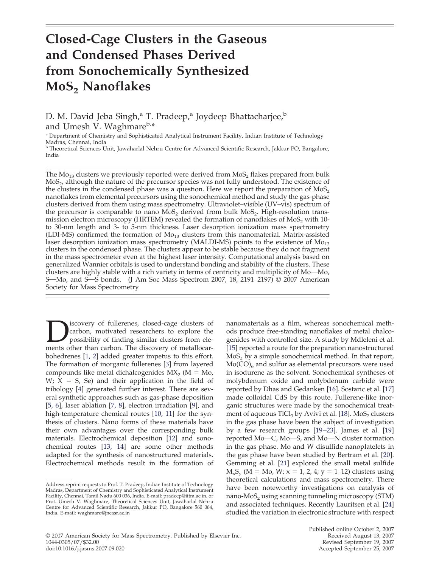# **Closed-Cage Clusters in the Gaseous and Condensed Phases Derived from Sonochemically Synthesized MoS2 Nanoflakes**

D. M. David Jeba Singh,<sup>a</sup> T. Pradeep,<sup>a</sup> Joydeep Bhattacharjee,<sup>b</sup> and Umesh V. Waghmareb,\*

<sup>a</sup> Department of Chemistry and Sophisticated Analytical Instrument Facility, Indian Institute of Technology

Madras, Chennai, India<br><sup>b</sup> Theoretical Sciences Unit, Jawaharlal Nehru Centre for Advanced Scientific Research, Jakkur PO, Bangalore, India

The  $Mo_{13}$  clusters we previously reported were derived from  $MoS_2$  flakes prepared from bulk MoS<sub>2</sub>, although the nature of the precursor species was not fully understood. The existence of the clusters in the condensed phase was a question. Here we report the preparation of  $MoS<sub>2</sub>$ nanoflakes from elemental precursors using the sonochemical method and study the gas-phase clusters derived from them using mass spectrometry. Ultraviolet–visible (UV–vis) spectrum of the precursor is comparable to nano  $MoS<sub>2</sub>$  derived from bulk  $MoS<sub>2</sub>$ . High-resolution transmission electron microscopy (HRTEM) revealed the formation of nanoflakes of  $MoS<sub>2</sub>$  with 10to 30-nm length and 3- to 5-nm thickness. Laser desorption ionization mass spectrometry (LDI-MS) confirmed the formation of  $Mo_{13}$  clusters from this nanomaterial. Matrix-assisted laser desorption ionization mass spectrometry (MALDI-MS) points to the existence of  $Mo_{13}$ clusters in the condensed phase. The clusters appear to be stable because they do not fragment in the mass spectrometer even at the highest laser intensity. Computational analysis based on generalized Wannier orbitals is used to understand bonding and stability of the clusters. These clusters are highly stable with a rich variety in terms of centricity and multiplicity of Mo-Mo, S—Mo, and S—S bonds. (J Am Soc Mass Spectrom 2007, 18, 2191–2197)  $\odot$  2007 American Society for Mass Spectrometry

**DEN** is covery of fullerenes, closed-cage clusters of carbon, motivated researchers to explore the possibility of finding similar clusters from elements other than carbon. The discovery of metallocarcarbon, motivated researchers to explore the possibility of finding similar clusters from elebohedrenes [1, 2] added greater impetus to this effort. The formation of inorganic fullerenes [3] from layered compounds like metal dichalcogenides  $MX_2$  (M = Mo,  $W$ ;  $X = S$ , Se) and their application in the field of tribology [4] generated further interest. There are several synthetic approaches such as gas-phase deposition [5, 6], laser ablation [7, 8], electron irradiation [9], and high-temperature chemical routes [10, 11] for the synthesis of clusters. Nano forms of these materials have their own advantages over the corresponding bulk materials. Electrochemical deposition [12] and sonochemical routes [13, 14] are some other methods adapted for the synthesis of nanostructured materials. Electrochemical methods result in the formation of

nanomaterials as a film, whereas sonochemical methods produce free-standing nanoflakes of metal chalcogenides with controlled size. A study by Mdleleni et al. [15] reported a route for the preparation nanostructured  $MoS<sub>2</sub>$  by a simple sonochemical method. In that report,  $Mo(CO)<sub>6</sub>$  and sulfur as elemental precursors were used in isodurene as the solvent. Sonochemical syntheses of molybdenum oxide and molybdenum carbide were reported by Dhas and Gedanken [16]. Sostaric et al. [17] made colloidal CdS by this route. Fullerene-like inorganic structures were made by the sonochemical treatment of aqueous  $TICI_3$  by Avivi et al. [18]. MoS<sub>2</sub> clusters in the gas phase have been the subject of investigation by a few research groups [19–23]. James et al. [19] reported  $Mo-C$ ,  $Mo-S$ , and  $Mo-N$  cluster formation in the gas phase. Mo and W disulfide nanoplatelets in the gas phase have been studied by Bertram et al. [20]. Gemming et al. [21] explored the small metal sulfide  $M_xS_y$  (M = Mo, W; x = 1, 2, 4; y = 1–12) clusters using theoretical calculations and mass spectrometry. There have been noteworthy investigations on catalysis of nano- $MoS<sub>2</sub>$  using scanning tunneling microscopy (STM) and associated techniques. Recently Lauritsen et al. [24] studied the variation in electronic structure with respect

Address reprint requests to Prof. T. Pradeep, Indian Institute of Technology Madras, Department of Chemistry and Sophisticated Analytical Instrument Facility, Chennai, Tamil Nadu 600 036, India. E-mail: pradeep@iitm.ac.in, or Prof. Umesh V. Waghmare, Theoretical Sciences Unit, Jawaharlal Nehru Centre for Advanced Scientific Research, Jakkur PO, Bangalore 560 064, India. E-mail: waghmare@jncasr.ac.in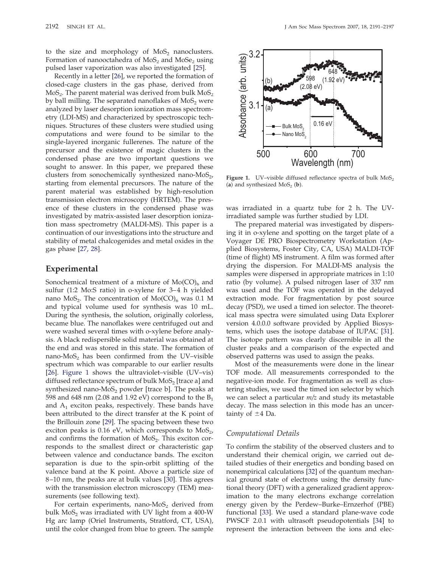to the size and morphology of  $MoS<sub>2</sub>$  nanoclusters. Formation of nanooctahedra of  $MoS<sub>2</sub>$  and  $MoSe<sub>2</sub>$  using pulsed laser vaporization was also investigated [25].

Recently in a letter [26], we reported the formation of closed-cage clusters in the gas phase, derived from  $MoS<sub>2</sub>$ . The parent material was derived from bulk  $MoS<sub>2</sub>$ by ball milling. The separated nanoflakes of  $MoS<sub>2</sub>$  were analyzed by laser desorption ionization mass spectrometry (LDI-MS) and characterized by spectroscopic techniques. Structures of these clusters were studied using computations and were found to be similar to the single-layered inorganic fullerenes. The nature of the precursor and the existence of magic clusters in the condensed phase are two important questions we sought to answer. In this paper, we prepared these clusters from sonochemically synthesized nano- $M_0S_{2}$ , starting from elemental precursors. The nature of the parent material was established by high-resolution transmission electron microscopy (HRTEM). The presence of these clusters in the condensed phase was investigated by matrix-assisted laser desorption ionization mass spectrometry (MALDI-MS). This paper is a continuation of our investigations into the structure and stability of metal chalcogenides and metal oxides in the gas phase [27, 28].

# **Experimental**

Sonochemical treatment of a mixture of  $Mo(CO)_{6}$  and sulfur (1:2 Mo:S ratio) in o-xylene for 3–4 h yielded nano  $MoS_2$ . The concentration of  $Mo(CO)_6$  was 0.1 M and typical volume used for synthesis was 10 mL. During the synthesis, the solution, originally colorless, became blue. The nanoflakes were centrifuged out and were washed several times with o-xylene before analysis. A black redispersible solid material was obtained at the end and was stored in this state. The formation of nano- $MoS<sub>2</sub>$  has been confirmed from the UV–visible spectrum which was comparable to our earlier results [26]. Figure 1 shows the ultraviolet–visible (UV–vis) diffused reflectance spectrum of bulk  $MoS<sub>2</sub>$  [trace a] and synthesized nano- $MoS<sub>2</sub>$  powder [trace b]. The peaks at 598 and 648 nm (2.08 and 1.92 eV) correspond to the  $B_1$ and  $A_1$  exciton peaks, respectively. These bands have been attributed to the direct transfer at the K point of the Brillouin zone [29]. The spacing between these two exciton peaks is  $0.16$  eV, which corresponds to  $MoS<sub>2</sub>$ , and confirms the formation of  $MoS<sub>2</sub>$ . This exciton corresponds to the smallest direct or characteristic gap between valence and conductance bands. The exciton separation is due to the spin-orbit splitting of the valence band at the K point. Above a particle size of 8–10 nm, the peaks are at bulk values [30]. This agrees with the transmission electron microscopy (TEM) measurements (see following text).

For certain experiments, nano- $MoS<sub>2</sub>$  derived from bulk  $MoS<sub>2</sub>$  was irradiated with UV light from a 400-W Hg arc lamp (Oriel Instruments, Stratford, CT, USA), until the color changed from blue to green. The sample



**Figure 1.** UV–visible diffused reflectance spectra of bulk MoS<sub>2</sub> (a) and synthesized  $MoS<sub>2</sub>$  (b).

was irradiated in a quartz tube for 2 h. The UVirradiated sample was further studied by LDI.

The prepared material was investigated by dispersing it in o-xylene and spotting on the target plate of a Voyager DE PRO Biospectrometry Workstation (Applied Biosystems, Foster City, CA, USA) MALDI-TOF (time of flight) MS instrument. A film was formed after drying the dispersion. For MALDI-MS analysis the samples were dispersed in appropriate matrices in 1:10 ratio (by volume). A pulsed nitrogen laser of 337 nm was used and the TOF was operated in the delayed extraction mode. For fragmentation by post source decay (PSD), we used a timed ion selector. The theoretical mass spectra were simulated using Data Explorer version 4.0.0.0 software provided by Applied Biosystems, which uses the isotope database of IUPAC [31]. The isotope pattern was clearly discernible in all the cluster peaks and a comparison of the expected and observed patterns was used to assign the peaks.

Most of the measurements were done in the linear TOF mode. All measurements corresponded to the negative-ion mode. For fragmentation as well as clustering studies, we used the timed ion selector by which we can select a particular *m/z* and study its metastable decay. The mass selection in this mode has an uncertainty of  $\pm 4$  Da.

#### *Computational Details*

To confirm the stability of the observed clusters and to understand their chemical origin, we carried out detailed studies of their energetics and bonding based on nonempirical calculations [32] of the quantum mechanical ground state of electrons using the density functional theory (DFT) with a generalized gradient approximation to the many electrons exchange correlation energy given by the Perdew–Burke–Ernzerhof (PBE) functional [33]. We used a standard plane-wave code PWSCF 2.0.1 with ultrasoft pseudopotentials [34] to represent the interaction between the ions and elec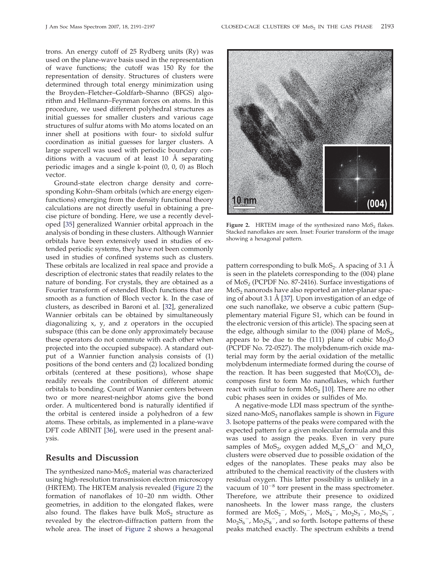trons. An energy cutoff of 25 Rydberg units (Ry) was used on the plane-wave basis used in the representation of wave functions; the cutoff was 150 Ry for the representation of density. Structures of clusters were determined through total energy minimization using the Broyden–Fletcher–Goldfarb–Shanno (BFGS) algorithm and Hellmann–Feynman forces on atoms. In this procedure, we used different polyhedral structures as initial guesses for smaller clusters and various cage structures of sulfur atoms with Mo atoms located on an inner shell at positions with four- to sixfold sulfur coordination as initial guesses for larger clusters. A large supercell was used with periodic boundary conditions with a vacuum of at least 10 Å separating periodic images and a single k-point (0, 0, 0) as Bloch vector.

Ground-state electron charge density and corresponding Kohn–Sham orbitals (which are energy eigenfunctions) emerging from the density functional theory calculations are not directly useful in obtaining a precise picture of bonding. Here, we use a recently developed [35] generalized Wannier orbital approach in the analysis of bonding in these clusters. Although Wannier orbitals have been extensively used in studies of extended periodic systems, they have not been commonly used in studies of confined systems such as clusters. These orbitals are localized in real space and provide a description of electronic states that readily relates to the nature of bonding. For crystals, they are obtained as a Fourier transform of extended Bloch functions that are smooth as a function of Bloch vector k. In the case of clusters, as described in Baroni et al. [32], generalized Wannier orbitals can be obtained by simultaneously diagonalizing x, y, and z operators in the occupied subspace (this can be done only approximately because these operators do not commute with each other when projected into the occupied subspace). A standard output of a Wannier function analysis consists of (1) positions of the bond centers and (2) localized bonding orbitals (centered at these positions), whose shape readily reveals the contribution of different atomic orbitals to bonding. Count of Wannier centers between two or more nearest-neighbor atoms give the bond order. A multicentered bond is naturally identified if the orbital is centered inside a polyhedron of a few atoms. These orbitals, as implemented in a plane-wave DFT code ABINIT [36], were used in the present analysis.

# **Results and Discussion**

The synthesized nano- $MoS<sub>2</sub>$  material was characterized using high-resolution transmission electron microscopy (HRTEM). The HRTEM analysis revealed (Figure 2) the formation of nanoflakes of 10–20 nm width. Other geometries, in addition to the elongated flakes, were also found. The flakes have bulk  $MoS<sub>2</sub>$  structure as revealed by the electron-diffraction pattern from the whole area. The inset of Figure 2 shows a hexagonal



**Figure 2.** HRTEM image of the synthesized nano  $MoS<sub>2</sub>$  flakes. Stacked nanoflakes are seen. Inset: Fourier transform of the image showing a hexagonal pattern.

pattern corresponding to bulk  $MoS<sub>2</sub>$ . A spacing of 3.1 Å is seen in the platelets corresponding to the (004) plane of  $MoS<sub>2</sub>$  (PCPDF No. 87-2416). Surface investigations of  $MoS<sub>2</sub>$  nanorods have also reported an inter-planar spacing of about 3.1 Å [37]. Upon investigation of an edge of one such nanoflake, we observe a cubic pattern (Supplementary material Figure S1, which can be found in the electronic version of this article). The spacing seen at the edge, although similar to the  $(004)$  plane of MoS<sub>2</sub>, appears to be due to the (111) plane of cubic  $Mo<sub>3</sub>O$ (PCPDF No. 72-0527). The molybdenum-rich oxide material may form by the aerial oxidation of the metallic molybdenum intermediate formed during the course of the reaction. It has been suggested that  $Mo(CO)<sub>6</sub>$  decomposes first to form Mo nanoflakes, which further react with sulfur to form  $MoS<sub>2</sub>$  [10]. There are no other cubic phases seen in oxides or sulfides of Mo.

A negative-mode LDI mass spectrum of the synthesized nano- $MoS<sub>2</sub>$  nanoflakes sample is shown in Figure 3. Isotope patterns of the peaks were compared with the expected pattern for a given molecular formula and this was used to assign the peaks. Even in very pure samples of  $MoS_{2}$ , oxygen added  $M_{n}S_{m}O^{-}$  and  $M_{n}O_{v}$ clusters were observed due to possible oxidation of the edges of the nanoplates. These peaks may also be attributed to the chemical reactivity of the clusters with residual oxygen. This latter possibility is unlikely in a vacuum of  $10^{-8}$  torr present in the mass spectrometer. Therefore, we attribute their presence to oxidized nanosheets. In the lower mass range, the clusters formed are  $MOS_2^-$ ,  $MOS_3^-$ ,  $MOS_4^-$ ,  $MOS_2S_3^-$ ,  $MOS_2S_5^-$ ,  $Mo<sub>2</sub>S<sub>6</sub><sup>-</sup>$ ,  $Mo<sub>2</sub>S<sub>8</sub><sup>-</sup>$ , and so forth. Isotope patterns of these peaks matched exactly. The spectrum exhibits a trend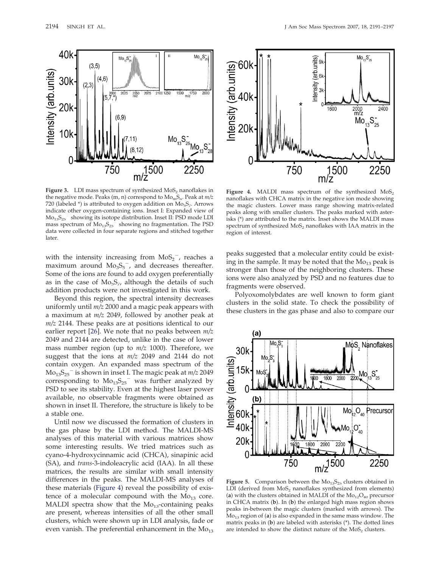

**Figure 3.** LDI mass spectrum of synthesized  $MoS<sub>2</sub>$  nanoflakes in the negative mode. Peaks (m, n) correspond to  $Mo<sub>m</sub>S<sub>n</sub>$ . Peak at  $m/z$ 720 (labeled  $*$ ) is attributed to oxygen addition on  $Mo<sub>5</sub>S<sub>7</sub>$ . Arrows indicate other oxygen-containing ions. Inset I: Expanded view of Mo13S25 showing its isotope distribution. Inset II: PSD mode LDI mass spectrum of  $Mo_{13}S_{25}$ <sup>-</sup> showing no fragmentation. The PSD data were collected in four separate regions and stitched together later.

with the intensity increasing from  $MoS_2^-$ , reaches a maximum around  $Mo<sub>3</sub>S<sub>5</sub><sup>-</sup>$ , and decreases thereafter. Some of the ions are found to add oxygen preferentially as in the case of  $Mo<sub>5</sub>S<sub>7</sub>$ , although the details of such addition products were not investigated in this work.

Beyond this region, the spectral intensity decreases uniformly until *m/z* 2000 and a magic peak appears with a maximum at *m/z* 2049, followed by another peak at *m/z* 2144. These peaks are at positions identical to our earlier report [26]. We note that no peaks between *m/z* 2049 and 2144 are detected, unlike in the case of lower mass number region (up to *m/z* 1000). Therefore, we suggest that the ions at *m/z* 2049 and 2144 do not contain oxygen. An expanded mass spectrum of the Mo13S25 is shown in inset I. The magic peak at *m/z* 2049 corresponding to  $Mo_{13}S_{25}^-$  was further analyzed by PSD to see its stability. Even at the highest laser power available, no observable fragments were obtained as shown in inset II. Therefore, the structure is likely to be a stable one.

Until now we discussed the formation of clusters in the gas phase by the LDI method. The MALDI-MS analyses of this material with various matrices show some interesting results. We tried matrices such as cyano-4-hydroxycinnamic acid (CHCA), sinapinic acid (SA), and *trans*-3-indoleacrylic acid (IAA). In all these matrices, the results are similar with small intensity differences in the peaks. The MALDI-MS analyses of these materials (Figure 4) reveal the possibility of existence of a molecular compound with the  $Mo_{13}$  core. MALDI spectra show that the  $Mo<sub>13</sub>$ -containing peaks are present, whereas intensities of all the other small clusters, which were shown up in LDI analysis, fade or even vanish. The preferential enhancement in the  $Mo_{13}$ 



Figure 4. MALDI mass spectrum of the synthesized  $MoS<sub>2</sub>$ nanoflakes with CHCA matrix in the negative ion mode showing the magic clusters. Lower mass range showing matrix-related peaks along with smaller clusters. The peaks marked with asterisks (\*) are attributed to the matrix. Inset shows the MALDI mass spectrum of synthesized  $MoS<sub>2</sub>$  nanoflakes with IAA matrix in the region of interest.

peaks suggested that a molecular entity could be existing in the sample. It may be noted that the  $Mo_{13}$  peak is stronger than those of the neighboring clusters. These ions were also analyzed by PSD and no features due to fragments were observed.

Polyoxomolybdates are well known to form giant clusters in the solid state. To check the possibility of these clusters in the gas phase and also to compare our



**Figure 5.** Comparison between the  $Mo_{13}S_{25}$  clusters obtained in LDI (derived from  $MoS<sub>2</sub>$  nanoflakes synthesized from elements) (a) with the clusters obtained in MALDI of the  $Mo_{12}O_{40}$  precursor in CHCA matrix (**b**). In (**b**) the enlarged high mass region shows peaks in-between the magic clusters (marked with arrows). The  $\rm Mo_{13}$  region of (a) is also expanded in the same mass window. The matrix peaks in (**b**) are labeled with asterisks (\*). The dotted lines are intended to show the distinct nature of the  $MoS<sub>2</sub>$  clusters.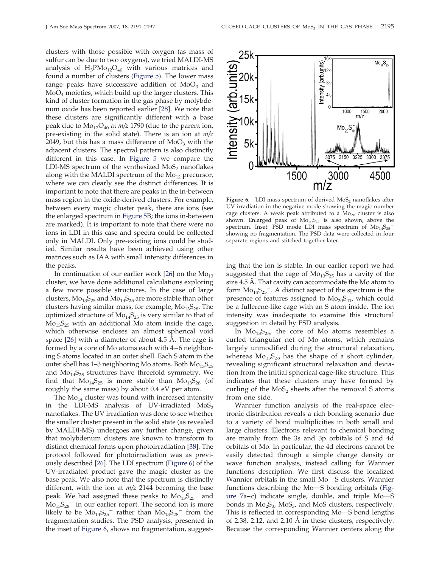clusters with those possible with oxygen (as mass of sulfur can be due to two oxygens), we tried MALDI-MS analysis of  $H_3PMo_{12}O_{40}$  with various matrices and found a number of clusters (Figure 5). The lower mass range peaks have successive addition of  $MoO<sub>3</sub>$  and  $MoO<sub>4</sub>$  moieties, which build up the larger clusters. This kind of cluster formation in the gas phase by molybdenum oxide has been reported earlier [28]. We note that these clusters are significantly different with a base peak due to  $Mo_{12}O_{40}$  at  $m/z$  1790 (due to the parent ion, pre-existing in the solid state). There is an ion at *m/z* 2049, but this has a mass difference of  $MoO<sub>3</sub>$  with the adjacent clusters. The spectral pattern is also distinctly different in this case. In Figure 5 we compare the LDI-MS spectrum of the synthesized  $MoS<sub>2</sub>$  nanoflakes along with the MALDI spectrum of the  $Mo_{12}$  precursor, where we can clearly see the distinct differences. It is important to note that there are peaks in the in-between mass region in the oxide-derived clusters. For example, between every magic cluster peak, there are ions (see the enlarged spectrum in Figure 5B; the ions in-between are marked). It is important to note that there were no ions in LDI in this case and spectra could be collected only in MALDI. Only pre-existing ions could be studied. Similar results have been achieved using other matrices such as IAA with small intensity differences in the peaks.

In continuation of our earlier work [26] on the  $Mo_{13}$ cluster, we have done additional calculations exploring a few more possible structures. In the case of large clusters,  $Mo_{13}S_{25}$  and  $Mo_{14}S_{25}$  are more stable than other clusters having similar mass, for example,  $Mo_{13}S_{28}$ . The optimized structure of  $Mo<sub>14</sub>S<sub>25</sub>$  is very similar to that of  $Mo<sub>13</sub>S<sub>25</sub>$  with an additional Mo atom inside the cage, which otherwise encloses an almost spherical void space [26] with a diameter of about 4.5 Å. The cage is formed by a core of Mo atoms each with 4–6 neighboring S atoms located in an outer shell. Each S atom in the outer shell has 1–3 neighboring Mo atoms. Both  $Mo<sub>13</sub>S<sub>25</sub>$ and  $Mo<sub>14</sub>S<sub>25</sub>$  structures have threefold symmetry. We find that  $Mo_{14}S_{25}$  is more stable than  $Mo_{13}S_{28}$  (of roughly the same mass) by about 0.4 eV per atom.

The  $Mo_{14}$  cluster was found with increased intensity in the LDI-MS analysis of UV-irradiated  $MoS<sub>2</sub>$ nanoflakes. The UV irradiation was done to see whether the smaller cluster present in the solid state (as revealed by MALDI-MS) undergoes any further change, given that molybdenum clusters are known to transform to distinct chemical forms upon photoirradiation [38]. The protocol followed for photoirradiation was as previously described [26]. The LDI spectrum (Figure 6) of the UV-irradiated product gave the magic cluster as the base peak. We also note that the spectrum is distinctly different, with the ion at *m/z* 2144 becoming the base peak. We had assigned these peaks to  $Mo_{13}^-S_{25}^-$  and  $Mo_{13}S_{28}^-$  in our earlier report. The second ion is more likely to be  $Mo_{14}S_{25}^-$  rather than  $Mo_{13}S_{28}^-$  from the fragmentation studies. The PSD analysis, presented in the inset of Figure 6, shows no fragmentation, suggest-



Figure 6. LDI mass spectrum of derived MoS<sub>2</sub> nanoflakes after UV irradiation in the negative mode showing the magic number cage clusters. A weak peak attributed to a  $\rm Mo_{20}$  cluster is also shown. Enlarged peak of  $Mo_{20}S_{41}$  is also shown, above the spectrum. Inset: PSD mode LDI mass spectrum of  $Mo_{14}S_{25}^$ showing no fragmentation. The PSD data were collected in four separate regions and stitched together later.

ing that the ion is stable. In our earlier report we had suggested that the cage of  $Mo_{13}S_{25}$  has a cavity of the size 4.5 Å. That cavity can accommodate the Mo atom to form  $Mo_{14}S_{25}^-$ . A distinct aspect of the spectrum is the presence of features assigned to  $Mo_{20}S_{41}$ , which could be a fullerene-like cage with an S atom inside. The ion intensity was inadequate to examine this structural suggestion in detail by PSD analysis.

In  $Mo_{13}S_{25}$ , the core of Mo atoms resembles a curled triangular net of Mo atoms, which remains largely unmodified during the structural relaxation, whereas  $Mo_{13}S_{28}$  has the shape of a short cylinder, revealing significant structural relaxation and deviation from the initial spherical cage-like structure. This indicates that these clusters may have formed by curling of the  $MoS<sub>2</sub>$  sheets after the removal S atoms from one side.

Wannier function analysis of the real-space electronic distribution reveals a rich bonding scenario due to a variety of bond multiplicities in both small and large clusters. Electrons relevant to chemical bonding are mainly from the 3s and 3p orbitals of S and 4d orbitals of Mo. In particular, the 4d electrons cannot be easily detected through a simple charge density or wave function analysis, instead calling for Wannier functions description. We first discuss the localized Wannier orbitals in the small Mo-S clusters. Wannier functions describing the Mo-S bonding orbitals (Figure  $7a-c$ ) indicate single, double, and triple  $Mo-S$ bonds in  $Mo<sub>2</sub>S<sub>3</sub>$ ,  $MoS<sub>3</sub>$ , and MoS clusters, respectively. This is reflected in corresponding Mo-S bond lengths of 2.38, 2.12, and 2.10 Å in these clusters, respectively. Because the corresponding Wannier centers along the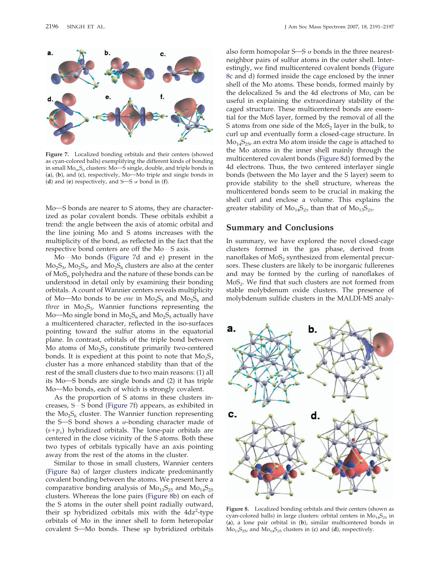

**Figure 7.** Localized bonding orbitals and their centers (showed as cyan-colored balls) exemplifying the different kinds of bonding in small  $Mo<sub>m</sub>S<sub>n</sub>$  clusters:  $Mo<sub>-</sub>S$  single, double, and triple bonds in  $(a)$ ,  $(b)$ , and  $(c)$ , respectively, Mo—Mo triple and single bonds in (**d**) and (**e**) respectively, and  $S-S$   $\sigma$  bond in (**f**).

Mo-S bonds are nearer to S atoms, they are characterized as polar covalent bonds. These orbitals exhibit a trend: the angle between the axis of atomic orbital and the line joining Mo and S atoms increases with the multiplicity of the bond, as reflected in the fact that the respective bond centers are off the Mo-S axis.

Mo-Mo bonds (Figure 7d and e) present in the  $Mo<sub>2</sub>S<sub>3</sub>$ ,  $Mo<sub>2</sub>S<sub>5</sub>$ , and  $Mo<sub>2</sub>S<sub>6</sub>$  clusters are also at the center of  $MoS<sub>n</sub>$  polyhedra and the nature of these bonds can be understood in detail only by examining their bonding orbitals. A count of Wannier centers reveals multiplicity of Mo- $M$ o bonds to be *one* in  $Mo<sub>2</sub>S<sub>5</sub>$  and  $Mo<sub>2</sub>S<sub>6</sub>$  and *three* in Mo<sub>2</sub>S<sub>3</sub>. Wannier functions representing the Mo—Mo single bond in  $Mo<sub>2</sub>S<sub>6</sub>$  and  $Mo<sub>2</sub>S<sub>5</sub>$  actually have a multicentered character, reflected in the iso-surfaces pointing toward the sulfur atoms in the equatorial plane. In contrast, orbitals of the triple bond between Mo atoms of  $Mo<sub>2</sub>S<sub>3</sub>$  constitute primarily two-centered bonds. It is expedient at this point to note that  $Mo<sub>2</sub>S<sub>3</sub>$ cluster has a more enhanced stability than that of the rest of the small clusters due to two main reasons: (1) all its  $Mo$ —S bonds are single bonds and  $(2)$  it has triple Mo-Mo bonds, each of which is strongly covalent.

As the proportion of S atoms in these clusters increases,  $S$ —S bond (Figure 7f) appears, as exhibited in the  $Mo<sub>2</sub>S<sub>6</sub>$  cluster. The Wannier function representing the S—S bond shows a  $\sigma$ -bonding character made of  $(s+p_x)$  hybridized orbitals. The lone-pair orbitals are centered in the close vicinity of the S atoms. Both these two types of orbitals typically have an axis pointing away from the rest of the atoms in the cluster.

Similar to those in small clusters, Wannier centers (Figure 8a) of larger clusters indicate predominantly covalent bonding between the atoms. We present here a comparative bonding analysis of  $Mo<sub>13</sub>S<sub>25</sub>$  and  $Mo<sub>14</sub>S<sub>25</sub>$ clusters. Whereas the lone pairs (Figure 8b) on each of the S atoms in the outer shell point radially outward, their sp hybridized orbitals mix with the 4dz<sup>2</sup>-type orbitals of Mo in the inner shell to form heteropolar covalent S-Mo bonds. These sp hybridized orbitals

also form homopolar  $S-S$   $\sigma$  bonds in the three nearestneighbor pairs of sulfur atoms in the outer shell. Interestingly, we find multicentered covalent bonds (Figure 8c and d) formed inside the cage enclosed by the inner shell of the Mo atoms. These bonds, formed mainly by the delocalized 5s and the 4d electrons of Mo, can be useful in explaining the extraordinary stability of the caged structure. These multicentered bonds are essential for the MoS layer, formed by the removal of all the S atoms from one side of the  $MoS<sub>2</sub>$  layer in the bulk, to curl up and eventually form a closed-cage structure. In  $Mo<sub>14</sub>S<sub>25</sub>$ , an extra Mo atom inside the cage is attached to the Mo atoms in the inner shell mainly through the multicentered covalent bonds (Figure 8d) formed by the 4d electrons. Thus, the two centered interlayer single bonds (between the Mo layer and the S layer) seem to provide stability to the shell structure, whereas the multicentered bonds seem to be crucial in making the shell curl and enclose a volume. This explains the greater stability of  $Mo_{14}S_{25}$  than that of  $Mo_{13}S_{25}$ .

# **Summary and Conclusions**

In summary, we have explored the novel closed-cage clusters formed in the gas phase, derived from nanoflakes of  $MoS<sub>2</sub>$  synthesized from elemental precursors. These clusters are likely to be inorganic fullerenes and may be formed by the curling of nanoflakes of  $MoS<sub>2</sub>$ . We find that such clusters are not formed from stable molybdenum oxide clusters. The presence of molybdenum sulfide clusters in the MALDI-MS analy-



**Figure 8.** Localized bonding orbitals and their centers (shown as cyan-colored balls) in large clusters: orbital centers in  $Mo<sub>14</sub>S<sub>25</sub>$  in (**a**), a lone pair orbital in (**b**), similar multicentered bonds in  $Mo_{13}S_{25}$ , and  $Mo_{14}S_{25}$  clusters in (c) and (d), respectively.